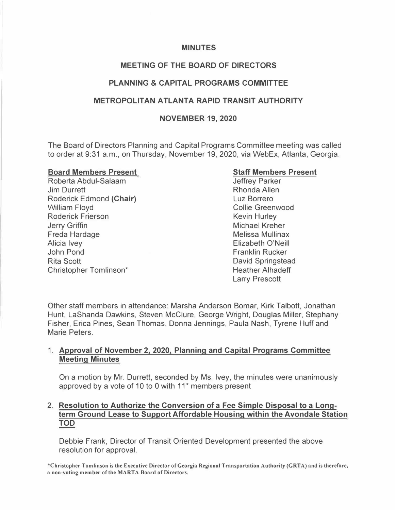#### **MINUTES**

### **MEETING OF THE BOARD OF DIRECTORS**

### **PLANNING & CAPITAL PROGRAMS COMMITTEE**

#### **METROPOLITAN ATLANTA RAPID TRANSIT AUTHORITY**

#### **NOVEMBER 19, 2020**

The Board of Directors Planning and Capital Programs Committee meeting was called to order at 9:31 a.m., on Thursday, November 19, 2020, via WebEx, Atlanta, Georgia.

#### **Board Members Present**

Roberta Abdul-Salaam Jim Durrett Roderick Edmond **(Chair)**  William Floyd Roderick Frierson Jerry Griffin Freda Hardage Alicia Ivey John Pond Rita Scott Christopher Tomlinson\*

#### **Staff Members Present**

Jeffrey Parker Rhonda Allen Luz Borrero Collie Greenwood Kevin Hurley Michael Kreher Melissa Mullinax Elizabeth O'Neill Franklin Rucker David Springstead Heather Alhadeff Larry Prescott

Other staff members in attendance: Marsha Anderson Bomar, Kirk Talbott, Jonathan Hunt, LaShanda Dawkins, Steven McClure, George Wright, Douglas Miller, Stephany Fisher, Erica Pines, Sean Thomas, Donna Jennings, Paula Nash, Tyrene Huff and Marie Peters.

#### 1. **Approval of November 2, 2020, Planning and Capital Programs Committee Meeting Minutes**

On a motion by Mr. Durrett, seconded by Ms. Ivey, the minutes were unanimously approved by a vote of 10 to 0 with 11<sup>\*</sup> members present

### 2. **Resolution to Authorize the Conversion of a Fee Simple Disposal to a Longterm Ground Lease to Support Affordable Housing within the Avondale Station TOD**

Debbie Frank, Director of Transit Oriented Development presented the above resolution for approval.

**\*Christopher Tomlinson is the Executive Director of Georgia Regional Transportation Authority (GRTA) and is therefore, a non-voting member of the MARTA Board of Directors.**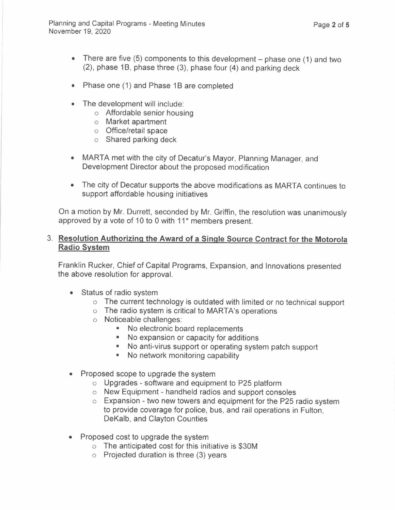- There are five  $(5)$  components to this development phase one  $(1)$  and two  $(2)$ , phase 1B, phase three  $(3)$ , phase four  $(4)$  and parking deck
- Phase one (1) and Phase 1B are completed
- The development will include:
	- o Affordable senior housing
	- o Market apartment
	- o Office/retail space
	- o Shared parking deck
- MARTA met with the city of Decatur's Mayor, Planning Manager, and Development Director about the proposed modification
- The city of Decatur supports the above modifications as MARTA continues to support affordable housing initiatives

On a motion by Mr. Durrett, seconded by Mr. Griffin, the resolution was unanimously approved by a vote of 10 to 0 with 11<sup>\*</sup> members present.

#### 3. **Resolution Authorizing the Award of a Single Source Contract for the Motorola Radio System**

Franklin Rucker, Chief of Capital Programs, Expansion, and Innovations presented the above resolution for approval.

- Status of radio system
	- o The current technology is outdated with limited or no technical support
	- o The radio system is critical to MARTA's operations
	- o Noticeable challenges:
		- No electronic board replacements
		- No expansion or capacity for additions
		- No anti-virus support or operating system patch support
		- No network monitoring capability
- Proposed scope to upgrade the system
	- o Upgrades software and equipment to P25 platform
	- o New Equipment handheld radios and support consoles
	- o Expansion two new towers and equipment for the P25 radio system to provide coverage for police, bus, and rail operations in Fulton, DeKalb, and Clayton Counties
- Proposed cost to upgrade the system
	- o The anticipated cost for this initiative is \$30M
	- o Projected duration is three (3) years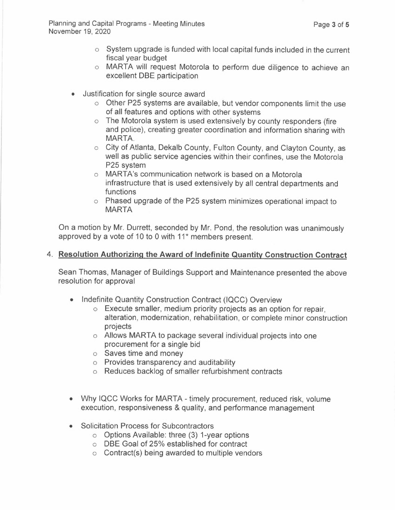- o System upgrade is funded with local capital funds included in the current fiscal year budget
- o MARTA will request Motorola to perform due diligence to achieve an excellent DBE participation
- Justification for single source award
	- o Other P25 systems are available, but vendor components limit the use of all features and options with other systems
	- o The Motorola system is used extensively by county responders (fire and police), creating greater coordination and information sharing with MARTA.
	- o City of Atlanta, Dekalb County, Fulton County, and Clayton County, as well as public service agencies within their confines, use the Motorola P25 system
	- o MARTA's communication network is based on a Motorola infrastructure that is used extensively by all central departments and functions
	- o Phased upgrade of the P25 system minimizes operational impact to MARTA

On a motion by Mr. Durrett, seconded by Mr. Pond, the resolution was unanimously approved by a vote of 10 to 0 with 11<sup>\*</sup> members present.

## 4. **Resolution Authorizing the Award of Indefinite Quantity Construction Contract**

Sean Thomas, Manager of Buildings Support and Maintenance presented the above resolution for approval

- Indefinite Quantity Construction Contract (IQCC) Overview
	- o Execute smaller, medium priority projects as an option for repair, alteration, modernization, rehabilitation, or complete minor construction projects
	- o Allows MARTA to package several individual projects into one procurement for a single bid
	- o Saves time and money
	- o Provides transparency and auditability
	- o Reduces backlog of smaller refurbishment contracts
- Why IQCC Works for MARTA timely procurement, reduced risk, volume execution, responsiveness & quality, and performance management
- Solicitation Process for Subcontractors
	- o Options Available: three (3) 1-year options
	- o DBE Goal of 25% established for contract
	- o Contract(s) being awarded to multiple vendors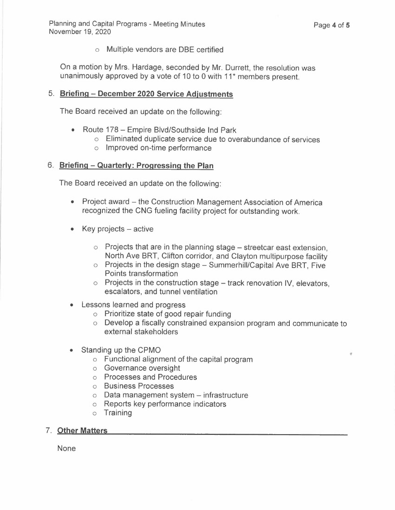o Multiple vendors are DBE certified

On a motion by Mrs. Hardage, seconded by Mr. Durrett, the resolution was unanimously approved by a vote of 10 to 0 with 11<sup>\*</sup> members present.

### 5. **Briefing - December 2020 Service Adjustments**

The Board received an update on the following:

- Route 178 Empire Blvd/Southside Ind Park
	- o Eliminated duplicate service due to overabundance of services
	- o Improved on-time performance

### 6. **Briefing - Quarterly: Progressing the Plan**

The Board received an update on the following:

- Project award the Construction Management Association of America recognized the CNG fueling facility project for outstanding work.
- $\bullet$  Key projects active
	- $\circ$  Projects that are in the planning stage streetcar east extension, North Ave BRT, Clifton corridor, and Clayton multipurpose facility
	- $\circ$  Projects in the design stage Summerhill/Capital Ave BRT, Five Points transformation
	- $\circ$  Projects in the construction stage track renovation IV, elevators, escalators, and tunnel ventilation
- Lessons learned and progress
	- o Prioritize state of good repair funding
	- o Develop a fiscally constrained expansion program and communicate to external stakeholders
- Standing up the CPMO
	- o Functional alignment of the capital program
	- o Governance oversight
	- o Processes and Procedures
	- o Business Processes
	- $\circ$  Data management system infrastructure
	- o Reports key performance indicators
	- o Training

## 7. **Other Matters**

None